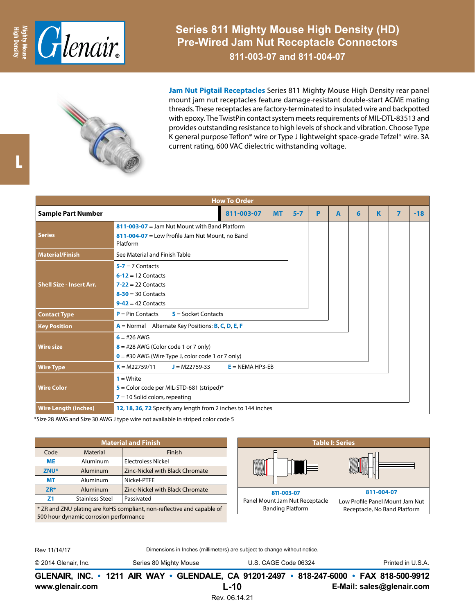

**Series 811 Mighty Mouse High Density (HD) Pre-Wired Jam Nut Receptacle Connectors**

**811-003-07 and 811-004-07**



**Jam Nut Pigtail Receptacles** Series 811 Mighty Mouse High Density rear panel mount jam nut receptacles feature damage-resistant double-start ACME mating threads. These receptacles are factory-terminated to insulated wire and backpotted with epoxy. The TwistPin contact system meets requirements of MIL-DTL-83513 and provides outstanding resistance to high levels of shock and vibration. Choose Type K general purpose Teflon® wire or Type J lightweight space-grade Tefzel® wire. 3A current rating, 600 VAC dielectric withstanding voltage.

|                                 |                                                                                                                      | <b>How To Order</b> |           |         |   |   |   |   |   |       |  |  |
|---------------------------------|----------------------------------------------------------------------------------------------------------------------|---------------------|-----------|---------|---|---|---|---|---|-------|--|--|
| <b>Sample Part Number</b>       |                                                                                                                      | 811-003-07          | <b>MT</b> | $5 - 7$ | P | A | 6 | K | 7 | $-18$ |  |  |
| Series                          | $811 - 003 - 07 =$ Jam Nut Mount with Band Platform<br>811-004-07 = Low Profile Jam Nut Mount, no Band<br>Platform   |                     |           |         |   |   |   |   |   |       |  |  |
| <b>Material/Finish</b>          | See Material and Finish Table                                                                                        |                     |           |         |   |   |   |   |   |       |  |  |
| <b>Shell Size - Insert Arr.</b> | $5 - 7 = 7$ Contacts<br>$6-12 = 12$ Contacts<br>$7-22 = 22$ Contacts<br>$8-30 = 30$ Contacts<br>$9-42 = 42$ Contacts |                     |           |         |   |   |   |   |   |       |  |  |
| <b>Contact Type</b>             | $P = Pin$ Contacts<br>$S =$ Socket Contacts                                                                          |                     |           |         |   |   |   |   |   |       |  |  |
| <b>Key Position</b>             | A = Normal Alternate Key Positions: B, C, D, E, F                                                                    |                     |           |         |   |   |   |   |   |       |  |  |
| <b>Wire size</b>                | $6 = 426$ AWG<br>$8 = #28$ AWG (Color code 1 or 7 only)<br>$0 = #30$ AWG (Wire Type J, color code 1 or 7 only)       |                     |           |         |   |   |   |   |   |       |  |  |
| <b>Wire Type</b>                | $K = M22759/11$<br>$J = M22759-33$<br>$E = NEMA HP3-EB$                                                              |                     |           |         |   |   |   |   |   |       |  |  |
| <b>Wire Color</b>               | $1 = White$<br>$5$ = Color code per MIL-STD-681 (striped)*<br>$7 = 10$ Solid colors, repeating                       |                     |           |         |   |   |   |   |   |       |  |  |
| <b>Wire Length (inches)</b>     | 12, 18, 36, 72 Specify any length from 2 inches to 144 inches                                                        |                     |           |         |   |   |   |   |   |       |  |  |

\*Size 28 AWG and Size 30 AWG J type wire not available in striped color code 5

|                                                                        |                        | <b>Material and Finish</b>             | <b>Table I: Series</b>         |                                 |  |  |
|------------------------------------------------------------------------|------------------------|----------------------------------------|--------------------------------|---------------------------------|--|--|
| Code                                                                   | Material               | Finish                                 |                                |                                 |  |  |
| <b>ME</b>                                                              | Aluminum               | <b>Electroless Nickel</b>              |                                |                                 |  |  |
| ZNU*                                                                   | Aluminum               | <b>Zinc-Nickel with Black Chromate</b> |                                |                                 |  |  |
| <b>MT</b>                                                              | Aluminum               | Nickel-PTFE                            |                                |                                 |  |  |
| $ZR*$                                                                  | Aluminum               | Zinc-Nickel with Black Chromate        | 811-003-07                     | 811-004-07                      |  |  |
| Z <sub>1</sub>                                                         | <b>Stainless Steel</b> | Passivated                             | Panel Mount Jam Nut Receptacle | Low Profile Panel Mount Jam Nut |  |  |
| * ZR and ZNU plating are RoHS compliant, non-reflective and capable of |                        |                                        | <b>Banding Platform</b>        | Receptacle, No Band Platform    |  |  |
| 500 hour dynamic corrosion performance                                 |                        |                                        |                                |                                 |  |  |

Rev 11/14/17

Dimensions in Inches (millimeters) are subject to change without notice.

© 2014 Glenair, Inc. Series 80 Mighty Mouse U.S. CAGE Code 06324 Printed in U.S.A.

**www.glenair.com E-Mail: sales@glenair.com GLENAIR, INC. • 1211 AIR WAY • GLENDALE, CA 91201-2497 • 818-247-6000 • FAX 818-500-9912 L-10**

Rev. 06.14.21